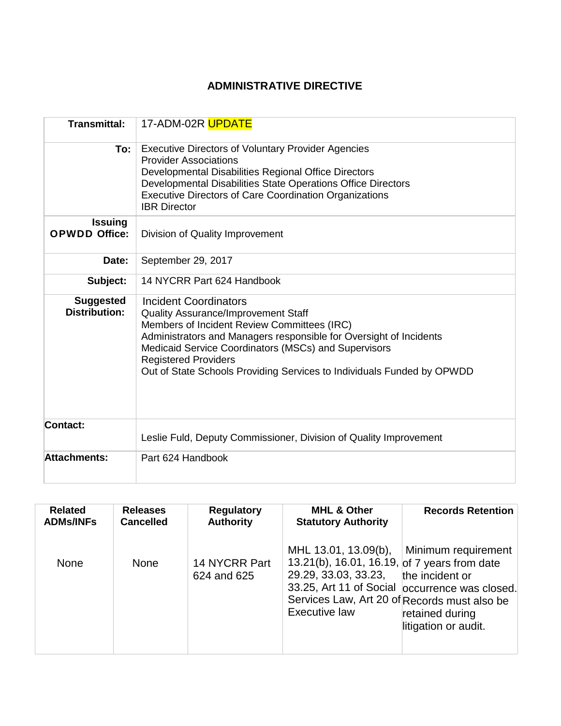# **ADMINISTRATIVE DIRECTIVE**

| <b>Transmittal:</b>                      | 17-ADM-02R UPDATE                                                                                                                                                                                                                                                                                                                                  |  |  |  |  |
|------------------------------------------|----------------------------------------------------------------------------------------------------------------------------------------------------------------------------------------------------------------------------------------------------------------------------------------------------------------------------------------------------|--|--|--|--|
| To:                                      | <b>Executive Directors of Voluntary Provider Agencies</b><br><b>Provider Associations</b><br>Developmental Disabilities Regional Office Directors<br>Developmental Disabilities State Operations Office Directors<br><b>Executive Directors of Care Coordination Organizations</b><br><b>IBR</b> Director                                          |  |  |  |  |
| <b>Issuing</b><br><b>OPWDD Office:</b>   | Division of Quality Improvement                                                                                                                                                                                                                                                                                                                    |  |  |  |  |
| Date:                                    | September 29, 2017                                                                                                                                                                                                                                                                                                                                 |  |  |  |  |
| Subject:                                 | 14 NYCRR Part 624 Handbook                                                                                                                                                                                                                                                                                                                         |  |  |  |  |
| <b>Suggested</b><br><b>Distribution:</b> | Incident Coordinators<br>Quality Assurance/Improvement Staff<br>Members of Incident Review Committees (IRC)<br>Administrators and Managers responsible for Oversight of Incidents<br>Medicaid Service Coordinators (MSCs) and Supervisors<br><b>Registered Providers</b><br>Out of State Schools Providing Services to Individuals Funded by OPWDD |  |  |  |  |
| Contact:                                 | Leslie Fuld, Deputy Commissioner, Division of Quality Improvement                                                                                                                                                                                                                                                                                  |  |  |  |  |
| <b>Attachments:</b>                      | Part 624 Handbook                                                                                                                                                                                                                                                                                                                                  |  |  |  |  |

| <b>Related</b>   | <b>Releases</b>  | <b>Regulatory</b>            | <b>MHL &amp; Other</b>                                                                                                                                        | <b>Records Retention</b>                                                                                                            |
|------------------|------------------|------------------------------|---------------------------------------------------------------------------------------------------------------------------------------------------------------|-------------------------------------------------------------------------------------------------------------------------------------|
| <b>ADMs/INFs</b> | <b>Cancelled</b> | <b>Authority</b>             | <b>Statutory Authority</b>                                                                                                                                    |                                                                                                                                     |
| <b>None</b>      | <b>None</b>      | 14 NYCRR Part<br>624 and 625 | MHL 13.01, 13.09(b),<br>13.21(b), 16.01, 16.19, of 7 years from date<br>29.29, 33.03, 33.23,<br>Services Law, Art 20 of Records must also be<br>Executive law | Minimum requirement<br>the incident or<br>33.25, Art 11 of Social occurrence was closed.<br>retained during<br>litigation or audit. |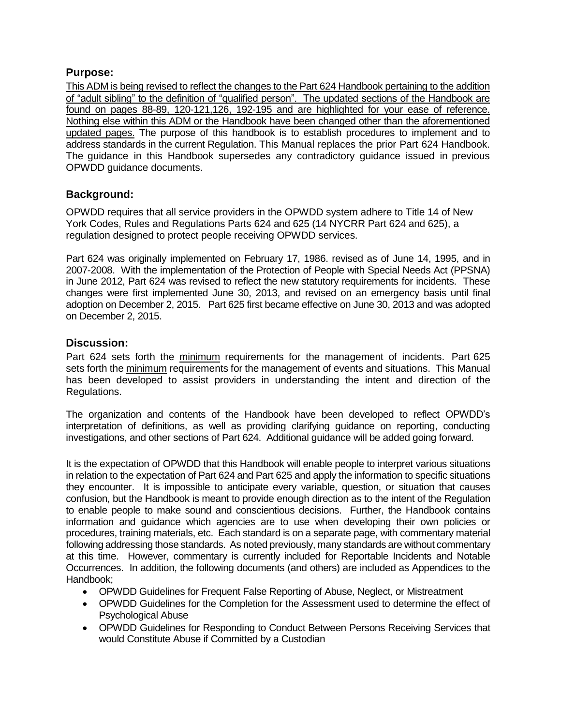### **Purpose:**

This ADM is being revised to reflect the changes to the Part 624 Handbook pertaining to the addition of "adult sibling" to the definition of "qualified person". The updated sections of the Handbook are found on pages 88-89, 120-121,126, 192-195 and are highlighted for your ease of reference. Nothing else within this ADM or the Handbook have been changed other than the aforementioned updated pages. The purpose of this handbook is to establish procedures to implement and to address standards in the current Regulation. This Manual replaces the prior Part 624 Handbook. The guidance in this Handbook supersedes any contradictory guidance issued in previous OPWDD guidance documents.

## **Background:**

OPWDD requires that all service providers in the OPWDD system adhere to Title 14 of New York Codes, Rules and Regulations Parts 624 and 625 (14 NYCRR Part 624 and 625), a regulation designed to protect people receiving OPWDD services.

Part 624 was originally implemented on February 17, 1986. revised as of June 14, 1995, and in 2007-2008. With the implementation of the Protection of People with Special Needs Act (PPSNA) in June 2012, Part 624 was revised to reflect the new statutory requirements for incidents. These changes were first implemented June 30, 2013, and revised on an emergency basis until final adoption on December 2, 2015. Part 625 first became effective on June 30, 2013 and was adopted on December 2, 2015.

### **Discussion:**

Part 624 sets forth the minimum requirements for the management of incidents. Part 625 sets forth the minimum requirements for the management of events and situations. This Manual has been developed to assist providers in understanding the intent and direction of the Regulations.

The organization and contents of the Handbook have been developed to reflect OPWDD's interpretation of definitions, as well as providing clarifying guidance on reporting, conducting investigations, and other sections of Part 624. Additional guidance will be added going forward.

It is the expectation of OPWDD that this Handbook will enable people to interpret various situations in relation to the expectation of Part 624 and Part 625 and apply the information to specific situations they encounter. It is impossible to anticipate every variable, question, or situation that causes confusion, but the Handbook is meant to provide enough direction as to the intent of the Regulation to enable people to make sound and conscientious decisions. Further, the Handbook contains information and guidance which agencies are to use when developing their own policies or procedures, training materials, etc. Each standard is on a separate page, with commentary material following addressing those standards. As noted previously, many standards are without commentary at this time. However, commentary is currently included for Reportable Incidents and Notable Occurrences. In addition, the following documents (and others) are included as Appendices to the Handbook;

- OPWDD Guidelines for Frequent False Reporting of Abuse, Neglect, or Mistreatment
- OPWDD Guidelines for the Completion for the Assessment used to determine the effect of Psychological Abuse
- OPWDD Guidelines for Responding to Conduct Between Persons Receiving Services that would Constitute Abuse if Committed by a Custodian